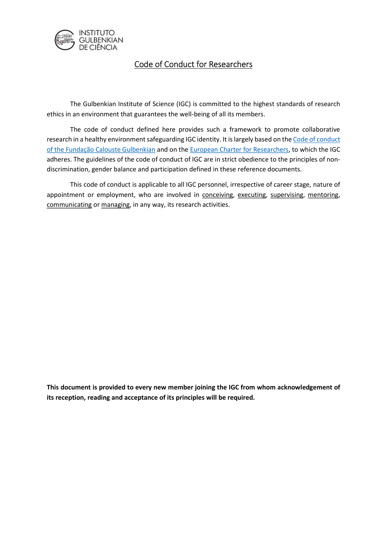

# Code of Conduct for Researchers

 The Gulbenkian Institute of Science (IGC) is committed to the highest standards of research ethics in an environment that guarantees the well-being of all its members.

The code of conduct defined here provides such a framework to promote collaborative research in a healthy environment safeguarding IGC identity. It is largely based on the Code of conduct of the Fundação Calouste Gulbenkian and on the European Charter for Researchers, to which the IGC adheres. The guidelines of the code of conduct of IGC are in strict obedience to the principles of nondiscrimination, gender balance and participation defined in these reference documents.

 This code of conduct is applicable to all IGC personnel, irrespective of career stage, nature of appointment or employment, who are involved in conceiving, executing, supervising, mentoring, communicating or managing, in any way, its research activities.

This document is provided to every new member joining the IGC from whom acknowledgement of its reception, reading and acceptance of its principles will be required.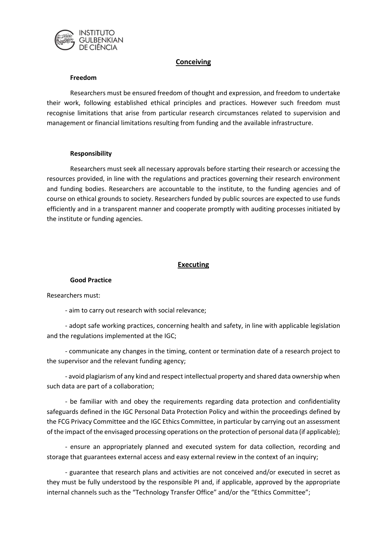

# **Conceiving**

#### Freedom

Researchers must be ensured freedom of thought and expression, and freedom to undertake their work, following established ethical principles and practices. However such freedom must recognise limitations that arise from particular research circumstances related to supervision and management or financial limitations resulting from funding and the available infrastructure.

### Responsibility

Researchers must seek all necessary approvals before starting their research or accessing the resources provided, in line with the regulations and practices governing their research environment and funding bodies. Researchers are accountable to the institute, to the funding agencies and of course on ethical grounds to society. Researchers funded by public sources are expected to use funds efficiently and in a transparent manner and cooperate promptly with auditing processes initiated by the institute or funding agencies.

# Executing

### Good Practice

Researchers must:

- aim to carry out research with social relevance;

- adopt safe working practices, concerning health and safety, in line with applicable legislation and the regulations implemented at the IGC;

- communicate any changes in the timing, content or termination date of a research project to the supervisor and the relevant funding agency;

- avoid plagiarism of any kind and respect intellectual property and shared data ownership when such data are part of a collaboration;

- be familiar with and obey the requirements regarding data protection and confidentiality safeguards defined in the IGC Personal Data Protection Policy and within the proceedings defined by the FCG Privacy Committee and the IGC Ethics Committee, in particular by carrying out an assessment of the impact of the envisaged processing operations on the protection of personal data (if applicable);

- ensure an appropriately planned and executed system for data collection, recording and storage that guarantees external access and easy external review in the context of an inquiry;

- guarantee that research plans and activities are not conceived and/or executed in secret as they must be fully understood by the responsible PI and, if applicable, approved by the appropriate internal channels such as the "Technology Transfer Office" and/or the "Ethics Committee";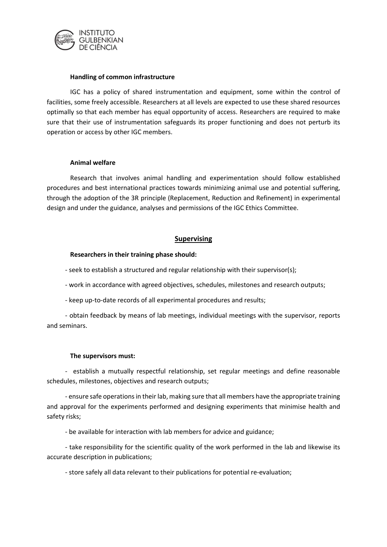

#### Handling of common infrastructure

IGC has a policy of shared instrumentation and equipment, some within the control of facilities, some freely accessible. Researchers at all levels are expected to use these shared resources optimally so that each member has equal opportunity of access. Researchers are required to make sure that their use of instrumentation safeguards its proper functioning and does not perturb its operation or access by other IGC members.

#### Animal welfare

Research that involves animal handling and experimentation should follow established procedures and best international practices towards minimizing animal use and potential suffering, through the adoption of the 3R principle (Replacement, Reduction and Refinement) in experimental design and under the guidance, analyses and permissions of the IGC Ethics Committee.

### Supervising

#### Researchers in their training phase should:

- seek to establish a structured and regular relationship with their supervisor(s);

- work in accordance with agreed objectives, schedules, milestones and research outputs;
- keep up-to-date records of all experimental procedures and results;

- obtain feedback by means of lab meetings, individual meetings with the supervisor, reports and seminars.

#### The supervisors must:

- establish a mutually respectful relationship, set regular meetings and define reasonable schedules, milestones, objectives and research outputs;

- ensure safe operations in their lab, making sure that all members have the appropriate training and approval for the experiments performed and designing experiments that minimise health and safety risks;

- be available for interaction with lab members for advice and guidance;

- take responsibility for the scientific quality of the work performed in the lab and likewise its accurate description in publications;

- store safely all data relevant to their publications for potential re-evaluation;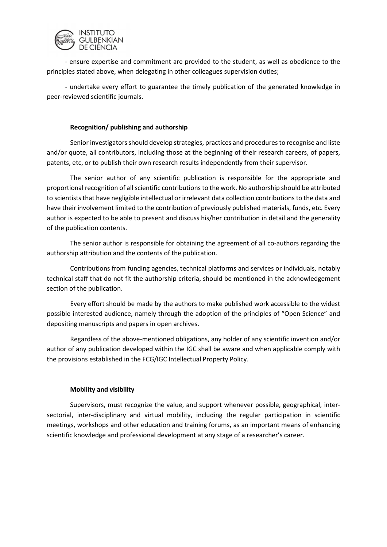

- ensure expertise and commitment are provided to the student, as well as obedience to the principles stated above, when delegating in other colleagues supervision duties;

- undertake every effort to guarantee the timely publication of the generated knowledge in peer-reviewed scientific journals.

# Recognition/ publishing and authorship

Senior investigators should develop strategies, practices and procedures to recognise and liste and/or quote, all contributors, including those at the beginning of their research careers, of papers, patents, etc, or to publish their own research results independently from their supervisor.

The senior author of any scientific publication is responsible for the appropriate and proportional recognition of all scientific contributions to the work. No authorship should be attributed to scientists that have negligible intellectual or irrelevant data collection contributions to the data and have their involvement limited to the contribution of previously published materials, funds, etc. Every author is expected to be able to present and discuss his/her contribution in detail and the generality of the publication contents.

The senior author is responsible for obtaining the agreement of all co-authors regarding the authorship attribution and the contents of the publication.

Contributions from funding agencies, technical platforms and services or individuals, notably technical staff that do not fit the authorship criteria, should be mentioned in the acknowledgement section of the publication.

Every effort should be made by the authors to make published work accessible to the widest possible interested audience, namely through the adoption of the principles of "Open Science" and depositing manuscripts and papers in open archives.

Regardless of the above-mentioned obligations, any holder of any scientific invention and/or author of any publication developed within the IGC shall be aware and when applicable comply with the provisions established in the FCG/IGC Intellectual Property Policy.

# Mobility and visibility

Supervisors, must recognize the value, and support whenever possible, geographical, intersectorial, inter-disciplinary and virtual mobility, including the regular participation in scientific meetings, workshops and other education and training forums, as an important means of enhancing scientific knowledge and professional development at any stage of a researcher's career.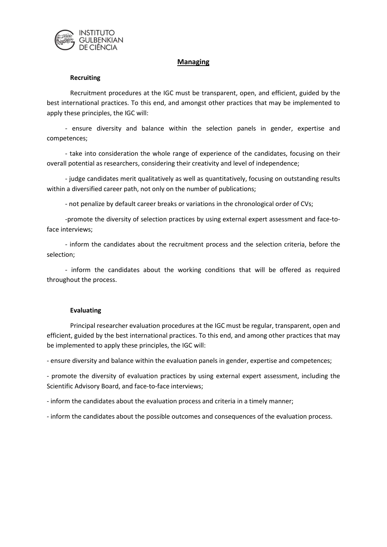

# Managing

### **Recruiting**

Recruitment procedures at the IGC must be transparent, open, and efficient, guided by the best international practices. To this end, and amongst other practices that may be implemented to apply these principles, the IGC will:

- ensure diversity and balance within the selection panels in gender, expertise and competences;

- take into consideration the whole range of experience of the candidates, focusing on their overall potential as researchers, considering their creativity and level of independence;

- judge candidates merit qualitatively as well as quantitatively, focusing on outstanding results within a diversified career path, not only on the number of publications;

- not penalize by default career breaks or variations in the chronological order of CVs;

-promote the diversity of selection practices by using external expert assessment and face-toface interviews;

- inform the candidates about the recruitment process and the selection criteria, before the selection;

- inform the candidates about the working conditions that will be offered as required throughout the process.

### Evaluating

Principal researcher evaluation procedures at the IGC must be regular, transparent, open and efficient, guided by the best international practices. To this end, and among other practices that may be implemented to apply these principles, the IGC will:

- ensure diversity and balance within the evaluation panels in gender, expertise and competences;

- promote the diversity of evaluation practices by using external expert assessment, including the Scientific Advisory Board, and face-to-face interviews;

- inform the candidates about the evaluation process and criteria in a timely manner;

- inform the candidates about the possible outcomes and consequences of the evaluation process.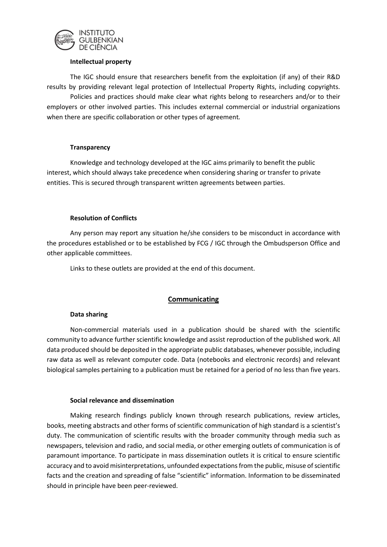

### Intellectual property

The IGC should ensure that researchers benefit from the exploitation (if any) of their R&D results by providing relevant legal protection of Intellectual Property Rights, including copyrights.

 Policies and practices should make clear what rights belong to researchers and/or to their employers or other involved parties. This includes external commercial or industrial organizations when there are specific collaboration or other types of agreement.

# **Transparency**

Knowledge and technology developed at the IGC aims primarily to benefit the public interest, which should always take precedence when considering sharing or transfer to private entities. This is secured through transparent written agreements between parties.

# Resolution of Conflicts

Any person may report any situation he/she considers to be misconduct in accordance with the procedures established or to be established by FCG / IGC through the Ombudsperson Office and other applicable committees.

Links to these outlets are provided at the end of this document.

# **Communicating**

# Data sharing

Non-commercial materials used in a publication should be shared with the scientific community to advance further scientific knowledge and assist reproduction of the published work. All data produced should be deposited in the appropriate public databases, whenever possible, including raw data as well as relevant computer code. Data (notebooks and electronic records) and relevant biological samples pertaining to a publication must be retained for a period of no less than five years.

### Social relevance and dissemination

Making research findings publicly known through research publications, review articles, books, meeting abstracts and other forms of scientific communication of high standard is a scientist's duty. The communication of scientific results with the broader community through media such as newspapers, television and radio, and social media, or other emerging outlets of communication is of paramount importance. To participate in mass dissemination outlets it is critical to ensure scientific accuracy and to avoid misinterpretations, unfounded expectations from the public, misuse of scientific facts and the creation and spreading of false "scientific" information. Information to be disseminated should in principle have been peer-reviewed.